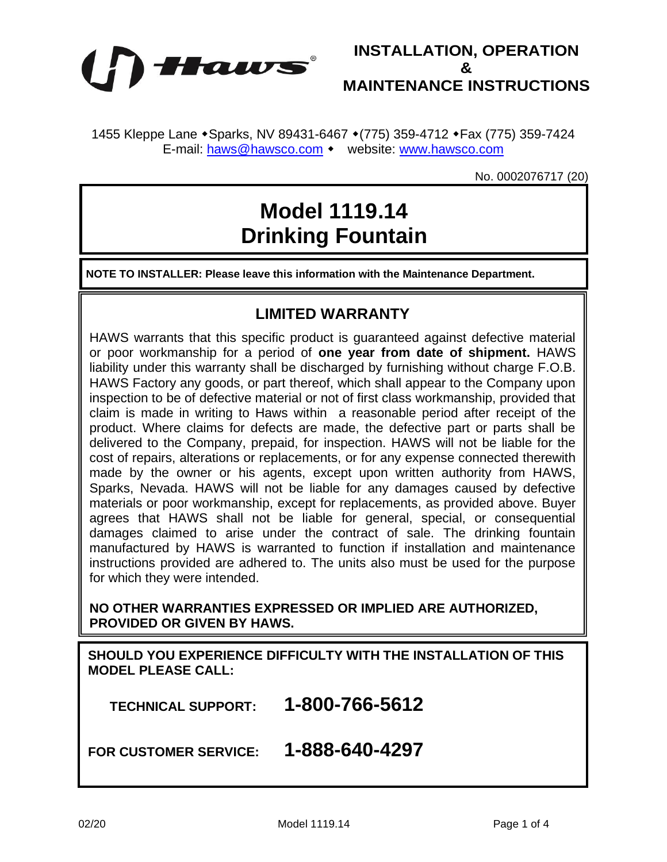



1455 Kleppe Lane • Sparks, NV 89431-6467 • (775) 359-4712 • Fax (775) 359-7424 E-mail: [haws@hawsco.com](mailto:haws@hawsco.com) • website: [www.hawsco.com](http://www.hawsco.com/)

No. 0002076717 (20)

## **Model 1119.14 Drinking Fountain**

**NOTE TO INSTALLER: Please leave this information with the Maintenance Department.**

## **LIMITED WARRANTY**

HAWS warrants that this specific product is guaranteed against defective material or poor workmanship for a period of **one year from date of shipment.** HAWS liability under this warranty shall be discharged by furnishing without charge F.O.B. HAWS Factory any goods, or part thereof, which shall appear to the Company upon inspection to be of defective material or not of first class workmanship, provided that claim is made in writing to Haws within a reasonable period after receipt of the product. Where claims for defects are made, the defective part or parts shall be delivered to the Company, prepaid, for inspection. HAWS will not be liable for the cost of repairs, alterations or replacements, or for any expense connected therewith made by the owner or his agents, except upon written authority from HAWS, Sparks, Nevada. HAWS will not be liable for any damages caused by defective materials or poor workmanship, except for replacements, as provided above. Buyer agrees that HAWS shall not be liable for general, special, or consequential damages claimed to arise under the contract of sale. The drinking fountain manufactured by HAWS is warranted to function if installation and maintenance instructions provided are adhered to. The units also must be used for the purpose for which they were intended.

**NO OTHER WARRANTIES EXPRESSED OR IMPLIED ARE AUTHORIZED, PROVIDED OR GIVEN BY HAWS.**

**SHOULD YOU EXPERIENCE DIFFICULTY WITH THE INSTALLATION OF THIS MODEL PLEASE CALL:**

 **TECHNICAL SUPPORT: 1-800-766-5612**

**FOR CUSTOMER SERVICE: 1-888-640-4297**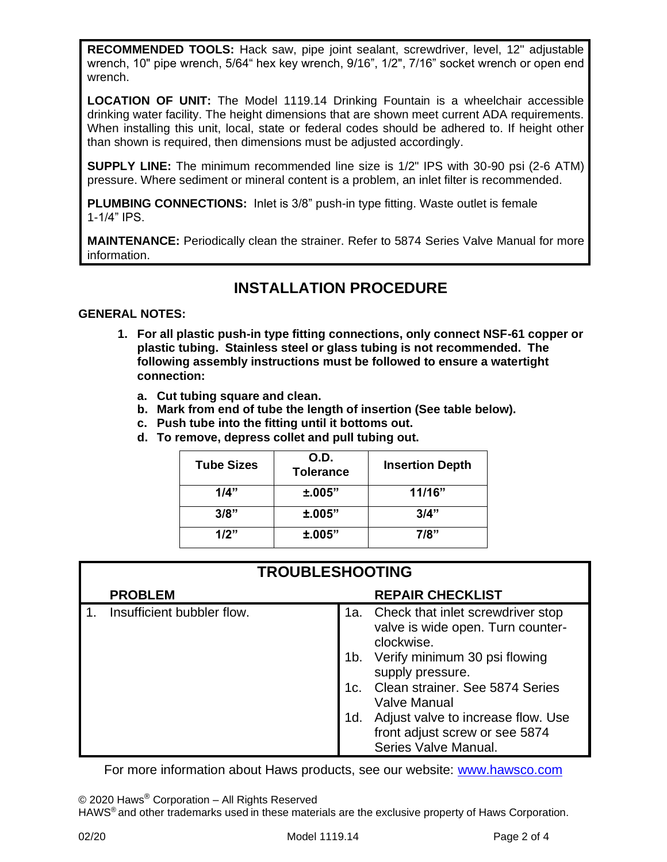**RECOMMENDED TOOLS:** Hack saw, pipe joint sealant, screwdriver, level, 12" adjustable wrench, 10" pipe wrench, 5/64" hex key wrench, 9/16", 1/2", 7/16" socket wrench or open end wrench.

**LOCATION OF UNIT:** The Model 1119.14 Drinking Fountain is a wheelchair accessible drinking water facility. The height dimensions that are shown meet current ADA requirements. When installing this unit, local, state or federal codes should be adhered to. If height other than shown is required, then dimensions must be adjusted accordingly.

**SUPPLY LINE:** The minimum recommended line size is 1/2" IPS with 30-90 psi (2-6 ATM) pressure. Where sediment or mineral content is a problem, an inlet filter is recommended.

**PLUMBING CONNECTIONS:** Inlet is 3/8" push-in type fitting. Waste outlet is female 1-1/4" IPS.

**MAINTENANCE:** Periodically clean the strainer. Refer to 5874 Series Valve Manual for more information.

## **INSTALLATION PROCEDURE**

## **GENERAL NOTES:**

- **1. For all plastic push-in type fitting connections, only connect NSF-61 copper or plastic tubing. Stainless steel or glass tubing is not recommended. The following assembly instructions must be followed to ensure a watertight connection:**
	- **a. Cut tubing square and clean.**
	- **b. Mark from end of tube the length of insertion (See table below).**
	- **c. Push tube into the fitting until it bottoms out.**
	- **d. To remove, depress collet and pull tubing out.**

| <b>Tube Sizes</b> | O.D.<br><b>Tolerance</b> | <b>Insertion Depth</b> |
|-------------------|--------------------------|------------------------|
| 1/4"              | ±.005"                   | 11/16"                 |
| 3/8"              | ±.005"                   | 3/4"                   |
| 1/2"              | ±.005"                   | 7/8"                   |

| <b>TROUBLESHOOTING</b> |                            |     |                                                                                              |  |
|------------------------|----------------------------|-----|----------------------------------------------------------------------------------------------|--|
|                        | <b>PROBLEM</b>             |     | <b>REPAIR CHECKLIST</b>                                                                      |  |
|                        | Insufficient bubbler flow. |     | 1a. Check that inlet screwdriver stop<br>valve is wide open. Turn counter-<br>clockwise.     |  |
|                        |                            | 1b. | Verify minimum 30 psi flowing<br>supply pressure.                                            |  |
|                        |                            | 1c. | Clean strainer. See 5874 Series<br><b>Valve Manual</b>                                       |  |
|                        |                            | 1d. | Adjust valve to increase flow. Use<br>front adjust screw or see 5874<br>Series Valve Manual. |  |

For more information about Haws products, see our website: [www.hawsco.com](http://www.hawsco.com/)

© 2020 Haws® Corporation – All Rights Reserved

HAWS® and other trademarks usedin these materials are the exclusive property of Haws Corporation.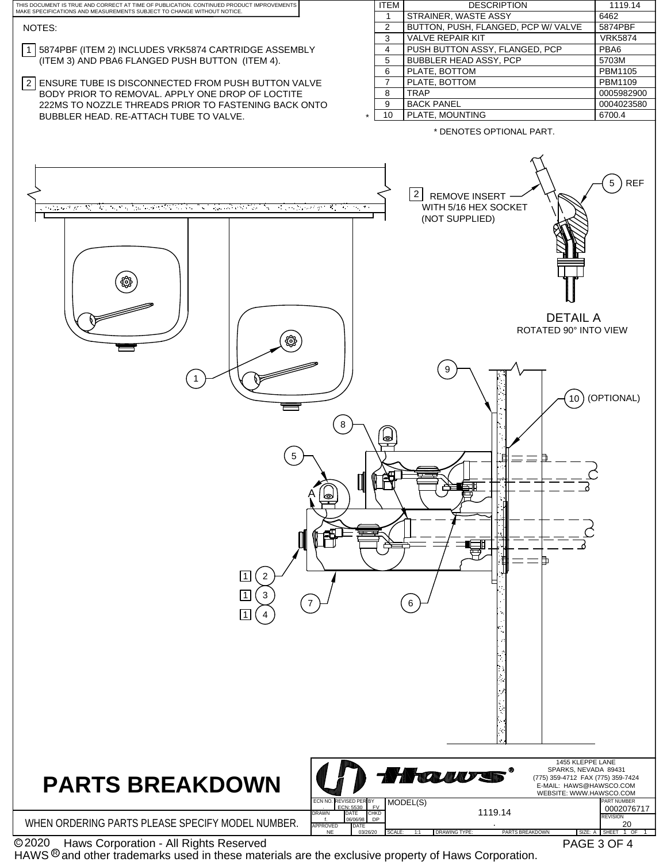

 Haws Corporation - All Rights Reserved C 2020

HAWS  $\textcircled{\tiny 8}$  and other trademarks used in these materials are the exclusive property of Haws Corporation.